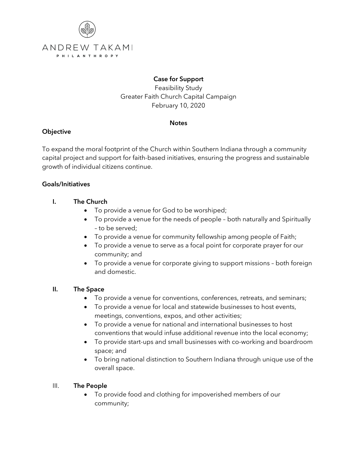

# **Case for Support**

Feasibility Study Greater Faith Church Capital Campaign February 10, 2020

#### **Notes**

# **Objective**

To expand the moral footprint of the Church within Southern Indiana through a community capital project and support for faith-based initiatives, ensuring the progress and sustainable growth of individual citizens continue.

## **Goals/Initiatives**

## **I. The Church**

- To provide a venue for God to be worshiped;
- To provide a venue for the needs of people both naturally and Spiritually – to be served;
- To provide a venue for community fellowship among people of Faith;
- To provide a venue to serve as a focal point for corporate prayer for our community; and
- To provide a venue for corporate giving to support missions both foreign and domestic.

#### **II. The Space**

- To provide a venue for conventions, conferences, retreats, and seminars;
- To provide a venue for local and statewide businesses to host events, meetings, conventions, expos, and other activities;
- To provide a venue for national and international businesses to host conventions that would infuse additional revenue into the local economy;
- To provide start-ups and small businesses with co-working and boardroom space; and
- To bring national distinction to Southern Indiana through unique use of the overall space.

#### III. **The People**

• To provide food and clothing for impoverished members of our community;